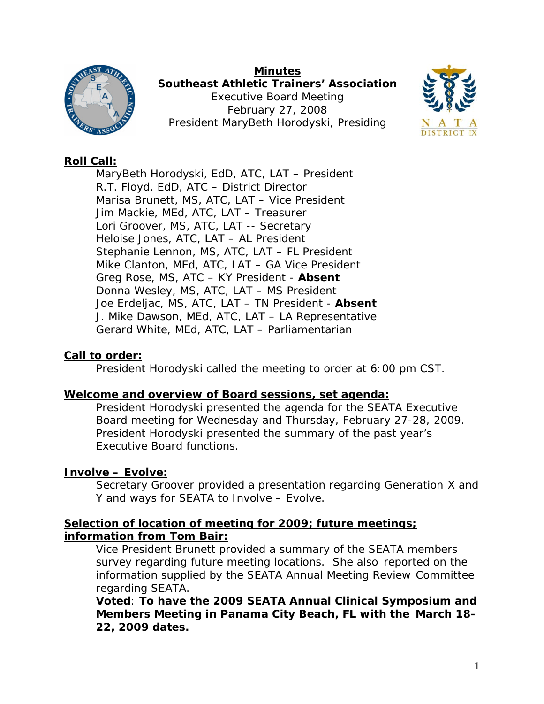#### **Minutes**



**Southeast Athletic Trainers' Association**  Executive Board Meeting February 27, 2008 President MaryBeth Horodyski, Presiding



# **Roll Call:**

MaryBeth Horodyski, EdD, ATC, LAT – President R.T. Floyd, EdD, ATC – District Director Marisa Brunett, MS, ATC, LAT – Vice President Jim Mackie, MEd, ATC, LAT – Treasurer Lori Groover, MS, ATC, LAT -- Secretary Heloise Jones, ATC, LAT – AL President Stephanie Lennon, MS, ATC, LAT – FL President Mike Clanton, MEd, ATC, LAT – GA Vice President Greg Rose, MS, ATC – KY President - **Absent** Donna Wesley, MS, ATC, LAT – MS President Joe Erdeljac, MS, ATC, LAT – TN President - **Absent** J. Mike Dawson, MEd, ATC, LAT – LA Representative Gerard White, MEd, ATC, LAT – Parliamentarian

# **Call to order:**

President Horodyski called the meeting to order at 6:00 pm CST.

## **Welcome and overview of Board sessions, set agenda:**

President Horodyski presented the agenda for the SEATA Executive Board meeting for Wednesday and Thursday, February 27-28, 2009. President Horodyski presented the summary of the past year's Executive Board functions.

# **Involve – Evolve:**

Secretary Groover provided a presentation regarding Generation X and Y and ways for SEATA to Involve – Evolve.

## **Selection of location of meeting for 2009; future meetings; information from Tom Bair:**

Vice President Brunett provided a summary of the SEATA members survey regarding future meeting locations. She also reported on the information supplied by the SEATA Annual Meeting Review Committee regarding SEATA.

**Voted**: **To have the 2009 SEATA Annual Clinical Symposium and Members Meeting in Panama City Beach, FL with the March 18- 22, 2009 dates.**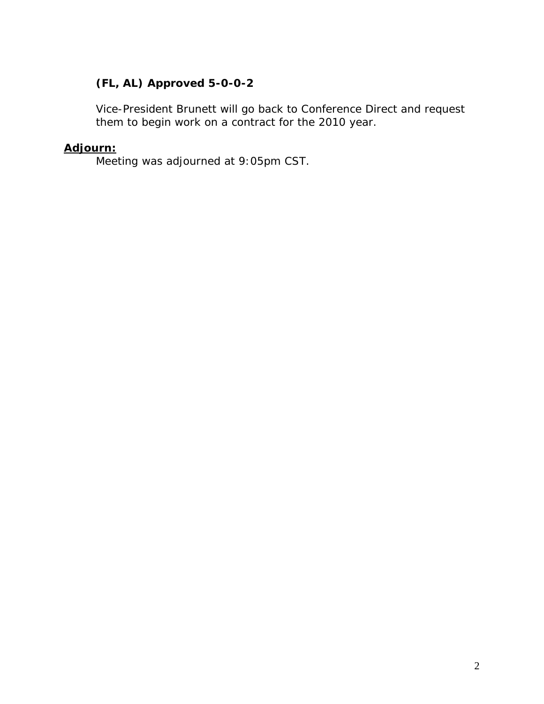# **(FL, AL) Approved 5-0-0-2**

Vice-President Brunett will go back to Conference Direct and request them to begin work on a contract for the 2010 year.

# **Adjourn:**

Meeting was adjourned at 9:05pm CST.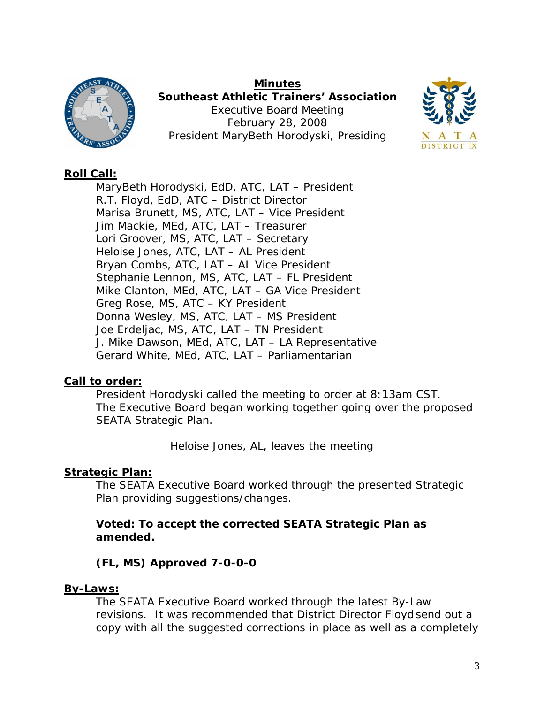

**Minutes Southeast Athletic Trainers' Association**  Executive Board Meeting February 28, 2008 President MaryBeth Horodyski, Presiding



# **Roll Call:**

MaryBeth Horodyski, EdD, ATC, LAT – President R.T. Floyd, EdD, ATC – District Director Marisa Brunett, MS, ATC, LAT – Vice President Jim Mackie, MEd, ATC, LAT – Treasurer Lori Groover, MS, ATC, LAT – Secretary Heloise Jones, ATC, LAT – AL President Bryan Combs, ATC, LAT – AL Vice President Stephanie Lennon, MS, ATC, LAT – FL President Mike Clanton, MEd, ATC, LAT – GA Vice President Greg Rose, MS, ATC – KY President Donna Wesley, MS, ATC, LAT – MS President Joe Erdeljac, MS, ATC, LAT – TN President J. Mike Dawson, MEd, ATC, LAT – LA Representative Gerard White, MEd, ATC, LAT – Parliamentarian

## **Call to order:**

President Horodyski called the meeting to order at 8:13am CST. The Executive Board began working together going over the proposed SEATA Strategic Plan.

*Heloise Jones, AL, leaves the meeting* 

# **Strategic Plan:**

The SEATA Executive Board worked through the presented Strategic Plan providing suggestions/changes.

# **Voted: To accept the corrected SEATA Strategic Plan as amended.**

# **(FL, MS) Approved 7-0-0-0**

## **By-Laws:**

The SEATA Executive Board worked through the latest By-Law revisions. It was recommended that District Director Floyd send out a copy with all the suggested corrections in place as well as a completely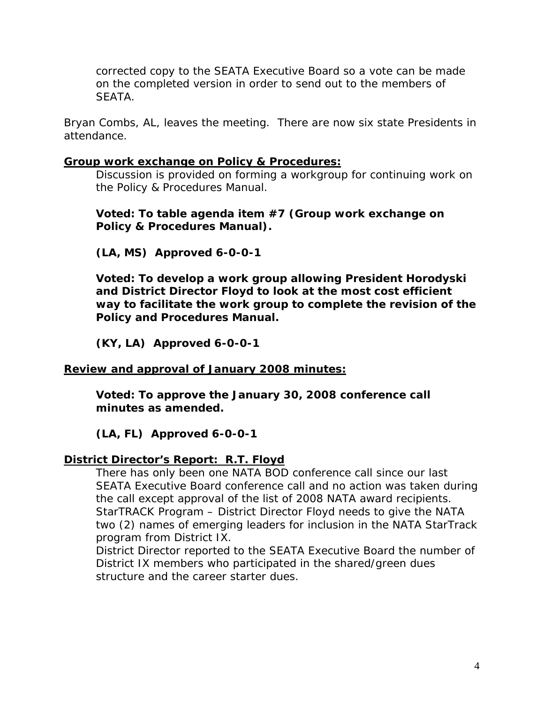corrected copy to the SEATA Executive Board so a vote can be made on the completed version in order to send out to the members of **SEATA** 

*Bryan Combs, AL, leaves the meeting. There are now six state Presidents in attendance.* 

### **Group work exchange on Policy & Procedures:**

Discussion is provided on forming a workgroup for continuing work on the Policy & Procedures Manual.

### **Voted: To table agenda item #7 (Group work exchange on Policy & Procedures Manual).**

**(LA, MS) Approved 6-0-0-1** 

**Voted: To develop a work group allowing President Horodyski and District Director Floyd to look at the most cost efficient way to facilitate the work group to complete the revision of the Policy and Procedures Manual.** 

**(KY, LA) Approved 6-0-0-1** 

## **Review and approval of January 2008 minutes:**

**Voted: To approve the January 30, 2008 conference call minutes as amended.** 

**(LA, FL) Approved 6-0-0-1** 

# **District Director's Report: R.T. Floyd**

There has only been one NATA BOD conference call since our last SEATA Executive Board conference call and no action was taken during the call except approval of the list of 2008 NATA award recipients. StarTRACK Program – District Director Floyd needs to give the NATA two (2) names of emerging leaders for inclusion in the NATA StarTrack program from District IX.

District Director reported to the SEATA Executive Board the number of District IX members who participated in the shared/green dues structure and the career starter dues.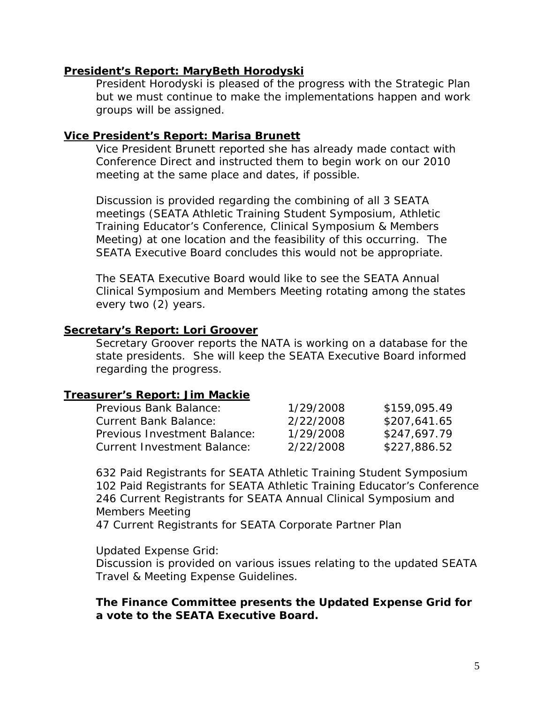#### **President's Report: MaryBeth Horodyski**

President Horodyski is pleased of the progress with the Strategic Plan but we must continue to make the implementations happen and work groups will be assigned.

#### **Vice President's Report: Marisa Brunett**

Vice President Brunett reported she has already made contact with Conference Direct and instructed them to begin work on our 2010 meeting at the same place and dates, if possible.

Discussion is provided regarding the combining of all 3 SEATA meetings (SEATA Athletic Training Student Symposium, Athletic Training Educator's Conference, Clinical Symposium & Members Meeting) at one location and the feasibility of this occurring. The SEATA Executive Board concludes this would not be appropriate.

The SEATA Executive Board would like to see the SEATA Annual Clinical Symposium and Members Meeting rotating among the states every two (2) years.

#### **Secretary's Report: Lori Groover**

Secretary Groover reports the NATA is working on a database for the state presidents. She will keep the SEATA Executive Board informed regarding the progress.

#### **Treasurer's Report: Jim Mackie**

| Previous Bank Balance:             | 1/29/2008 | \$159,095.49 |
|------------------------------------|-----------|--------------|
| <b>Current Bank Balance:</b>       | 2/22/2008 | \$207,641.65 |
| Previous Investment Balance:       | 1/29/2008 | \$247,697.79 |
| <b>Current Investment Balance:</b> | 2/22/2008 | \$227,886.52 |

632 Paid Registrants for SEATA Athletic Training Student Symposium 102 Paid Registrants for SEATA Athletic Training Educator's Conference 246 Current Registrants for SEATA Annual Clinical Symposium and Members Meeting

47 Current Registrants for SEATA Corporate Partner Plan

Updated Expense Grid:

Discussion is provided on various issues relating to the updated SEATA Travel & Meeting Expense Guidelines.

**The Finance Committee presents the Updated Expense Grid for a vote to the SEATA Executive Board.**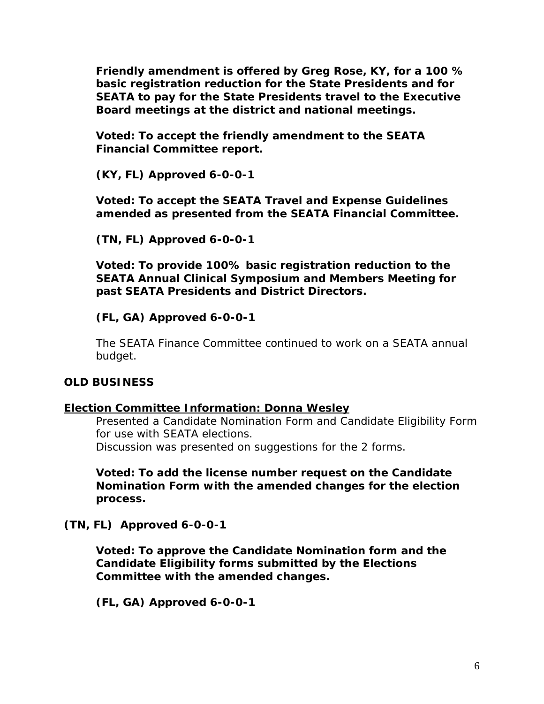**Friendly amendment is offered by Greg Rose, KY, for a 100 % basic registration reduction for the State Presidents and for SEATA to pay for the State Presidents travel to the Executive Board meetings at the district and national meetings.** 

**Voted: To accept the friendly amendment to the SEATA Financial Committee report.** 

**(KY, FL) Approved 6-0-0-1** 

**Voted: To accept the SEATA Travel and Expense Guidelines amended as presented from the SEATA Financial Committee.** 

**(TN, FL) Approved 6-0-0-1** 

**Voted: To provide 100% basic registration reduction to the SEATA Annual Clinical Symposium and Members Meeting for past SEATA Presidents and District Directors.** 

#### **(FL, GA) Approved 6-0-0-1**

The SEATA Finance Committee continued to work on a SEATA annual budget.

#### **OLD BUSINESS**

#### **Election Committee Information: Donna Wesley**

Presented a Candidate Nomination Form and Candidate Eligibility Form for use with SEATA elections. Discussion was presented on suggestions for the 2 forms.

**Voted: To add the license number request on the Candidate Nomination Form with the amended changes for the election process.** 

**(TN, FL) Approved 6-0-0-1** 

**Voted: To approve the Candidate Nomination form and the Candidate Eligibility forms submitted by the Elections Committee with the amended changes.** 

**(FL, GA) Approved 6-0-0-1**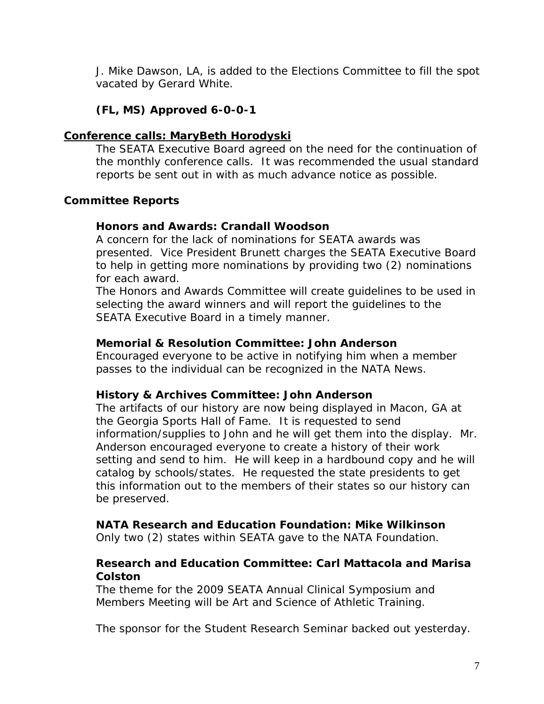J. Mike Dawson, LA, is added to the Elections Committee to fill the spot vacated by Gerard White.

# **(FL, MS) Approved 6-0-0-1**

# **Conference calls: MaryBeth Horodyski**

The SEATA Executive Board agreed on the need for the continuation of the monthly conference calls. It was recommended the usual standard reports be sent out in with as much advance notice as possible.

# **Committee Reports**

# **Honors and Awards: Crandall Woodson**

A concern for the lack of nominations for SEATA awards was presented. Vice President Brunett charges the SEATA Executive Board to help in getting more nominations by providing two (2) nominations for each award.

The Honors and Awards Committee will create guidelines to be used in selecting the award winners and will report the guidelines to the SEATA Executive Board in a timely manner.

# **Memorial & Resolution Committee: John Anderson**

Encouraged everyone to be active in notifying him when a member passes to the individual can be recognized in the NATA News.

## **History & Archives Committee: John Anderson**

The artifacts of our history are now being displayed in Macon, GA at the Georgia Sports Hall of Fame. It is requested to send information/supplies to John and he will get them into the display. Mr. Anderson encouraged everyone to create a history of their work setting and send to him. He will keep in a hardbound copy and he will catalog by schools/states. He requested the state presidents to get this information out to the members of their states so our history can be preserved.

# **NATA Research and Education Foundation: Mike Wilkinson**

Only two (2) states within SEATA gave to the NATA Foundation.

# **Research and Education Committee: Carl Mattacola and Marisa Colston**

The theme for the 2009 SEATA Annual Clinical Symposium and Members Meeting will be Art and Science of Athletic Training.

The sponsor for the Student Research Seminar backed out yesterday.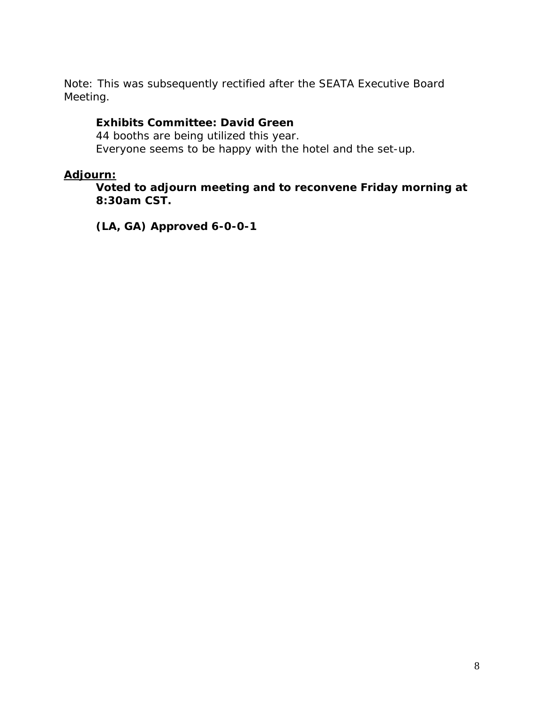Note: This was subsequently rectified after the SEATA Executive Board Meeting.

### **Exhibits Committee: David Green**

44 booths are being utilized this year. Everyone seems to be happy with the hotel and the set-up.

## **Adjourn:**

**Voted to adjourn meeting and to reconvene Friday morning at 8:30am CST.** 

**(LA, GA) Approved 6-0-0-1**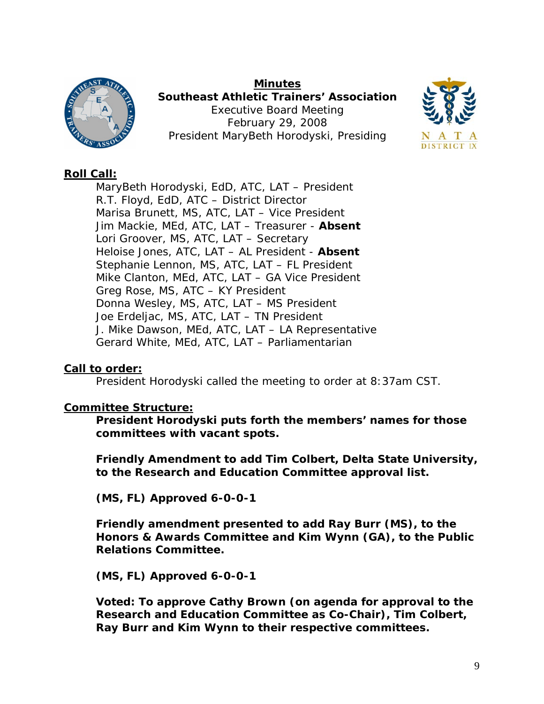

**Minutes Southeast Athletic Trainers' Association**  Executive Board Meeting February 29, 2008 President MaryBeth Horodyski, Presiding



# **Roll Call:**

MaryBeth Horodyski, EdD, ATC, LAT – President R.T. Floyd, EdD, ATC – District Director Marisa Brunett, MS, ATC, LAT – Vice President Jim Mackie, MEd, ATC, LAT – Treasurer - **Absent** Lori Groover, MS, ATC, LAT – Secretary Heloise Jones, ATC, LAT – AL President - **Absent** Stephanie Lennon, MS, ATC, LAT – FL President Mike Clanton, MEd, ATC, LAT – GA Vice President Greg Rose, MS, ATC – KY President Donna Wesley, MS, ATC, LAT – MS President Joe Erdeljac, MS, ATC, LAT – TN President J. Mike Dawson, MEd, ATC, LAT – LA Representative Gerard White, MEd, ATC, LAT – Parliamentarian

## **Call to order:**

President Horodyski called the meeting to order at 8:37am CST.

## **Committee Structure:**

**President Horodyski puts forth the members' names for those committees with vacant spots.** 

**Friendly Amendment to add Tim Colbert, Delta State University, to the Research and Education Committee approval list.** 

**(MS, FL) Approved 6-0-0-1** 

**Friendly amendment presented to add Ray Burr (MS), to the Honors & Awards Committee and Kim Wynn (GA), to the Public Relations Committee.** 

**(MS, FL) Approved 6-0-0-1** 

**Voted: To approve Cathy Brown (on agenda for approval to the Research and Education Committee as Co-Chair), Tim Colbert, Ray Burr and Kim Wynn to their respective committees.**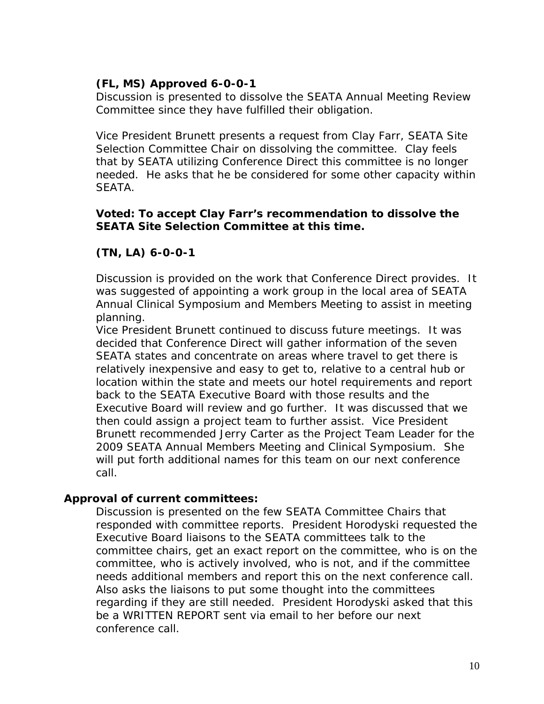# **(FL, MS) Approved 6-0-0-1**

Discussion is presented to dissolve the SEATA Annual Meeting Review Committee since they have fulfilled their obligation.

Vice President Brunett presents a request from Clay Farr, SEATA Site Selection Committee Chair on dissolving the committee. Clay feels that by SEATA utilizing Conference Direct this committee is no longer needed. He asks that he be considered for some other capacity within SEATA.

# **Voted: To accept Clay Farr's recommendation to dissolve the SEATA Site Selection Committee at this time.**

# **(TN, LA) 6-0-0-1**

Discussion is provided on the work that Conference Direct provides. It was suggested of appointing a work group in the local area of SEATA Annual Clinical Symposium and Members Meeting to assist in meeting planning.

Vice President Brunett continued to discuss future meetings. It was decided that Conference Direct will gather information of the seven SEATA states and concentrate on areas where travel to get there is relatively inexpensive and easy to get to, relative to a central hub or location within the state and meets our hotel requirements and report back to the SEATA Executive Board with those results and the Executive Board will review and go further. It was discussed that we then could assign a project team to further assist. Vice President Brunett recommended Jerry Carter as the Project Team Leader for the 2009 SEATA Annual Members Meeting and Clinical Symposium. She will put forth additional names for this team on our next conference call.

## **Approval of current committees:**

Discussion is presented on the few SEATA Committee Chairs that responded with committee reports. President Horodyski requested the Executive Board liaisons to the SEATA committees talk to the committee chairs, get an exact report on the committee, who is on the committee, who is actively involved, who is not, and if the committee needs additional members and report this on the next conference call. Also asks the liaisons to put some thought into the committees regarding if they are still needed. President Horodyski asked that this be a WRITTEN REPORT sent via email to her before our next conference call.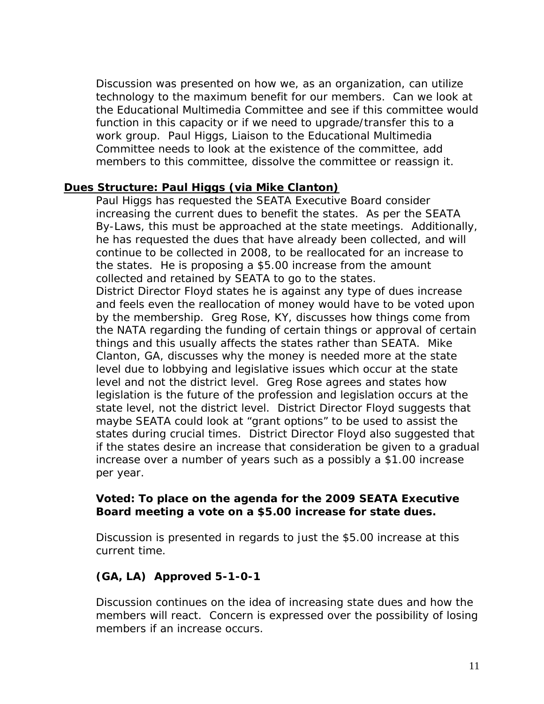Discussion was presented on how we, as an organization, can utilize technology to the maximum benefit for our members. Can we look at the Educational Multimedia Committee and see if this committee would function in this capacity or if we need to upgrade/transfer this to a work group. Paul Higgs, Liaison to the Educational Multimedia Committee needs to look at the existence of the committee, add members to this committee, dissolve the committee or reassign it.

#### **Dues Structure: Paul Higgs (via Mike Clanton)**

Paul Higgs has requested the SEATA Executive Board consider increasing the current dues to benefit the states. As per the SEATA By-Laws, this must be approached at the state meetings. Additionally, he has requested the dues that have already been collected, and will continue to be collected in 2008, to be reallocated for an increase to the states. He is proposing a \$5.00 increase from the amount collected and retained by SEATA to go to the states. District Director Floyd states he is against any type of dues increase and feels even the reallocation of money would have to be voted upon by the membership. Greg Rose, KY, discusses how things come from the NATA regarding the funding of certain things or approval of certain things and this usually affects the states rather than SEATA. Mike Clanton, GA, discusses why the money is needed more at the state level due to lobbying and legislative issues which occur at the state level and not the district level. Greg Rose agrees and states how legislation is the future of the profession and legislation occurs at the state level, not the district level. District Director Floyd suggests that maybe SEATA could look at "grant options" to be used to assist the states during crucial times. District Director Floyd also suggested that if the states desire an increase that consideration be given to a gradual increase over a number of years such as a possibly a \$1.00 increase per year.

#### **Voted: To place on the agenda for the 2009 SEATA Executive Board meeting a vote on a \$5.00 increase for state dues.**

Discussion is presented in regards to just the \$5.00 increase at this current time.

## **(GA, LA) Approved 5-1-0-1**

Discussion continues on the idea of increasing state dues and how the members will react. Concern is expressed over the possibility of losing members if an increase occurs.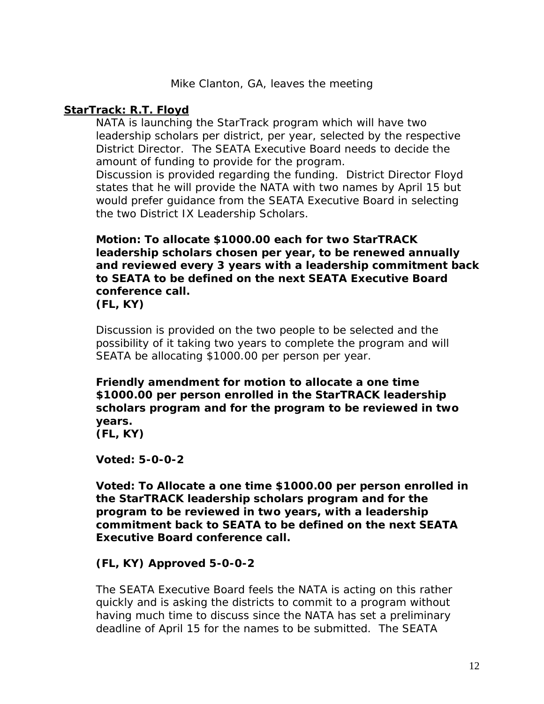## **StarTrack: R.T. Floyd**

NATA is launching the StarTrack program which will have two leadership scholars per district, per year, selected by the respective District Director. The SEATA Executive Board needs to decide the amount of funding to provide for the program.

Discussion is provided regarding the funding. District Director Floyd states that he will provide the NATA with two names by April 15 but would prefer guidance from the SEATA Executive Board in selecting the two District IX Leadership Scholars.

**Motion: To allocate \$1000.00 each for two StarTRACK leadership scholars chosen per year, to be renewed annually and reviewed every 3 years with a leadership commitment back to SEATA to be defined on the next SEATA Executive Board conference call. (FL, KY)** 

Discussion is provided on the two people to be selected and the possibility of it taking two years to complete the program and will SEATA be allocating \$1000.00 per person per year.

**Friendly amendment for motion to allocate a one time \$1000.00 per person enrolled in the StarTRACK leadership scholars program and for the program to be reviewed in two years.** 

**(FL, KY)** 

**Voted: 5-0-0-2** 

**Voted: To Allocate a one time \$1000.00 per person enrolled in the StarTRACK leadership scholars program and for the program to be reviewed in two years, with a leadership commitment back to SEATA to be defined on the next SEATA Executive Board conference call.** 

## **(FL, KY) Approved 5-0-0-2**

The SEATA Executive Board feels the NATA is acting on this rather quickly and is asking the districts to commit to a program without having much time to discuss since the NATA has set a preliminary deadline of April 15 for the names to be submitted. The SEATA